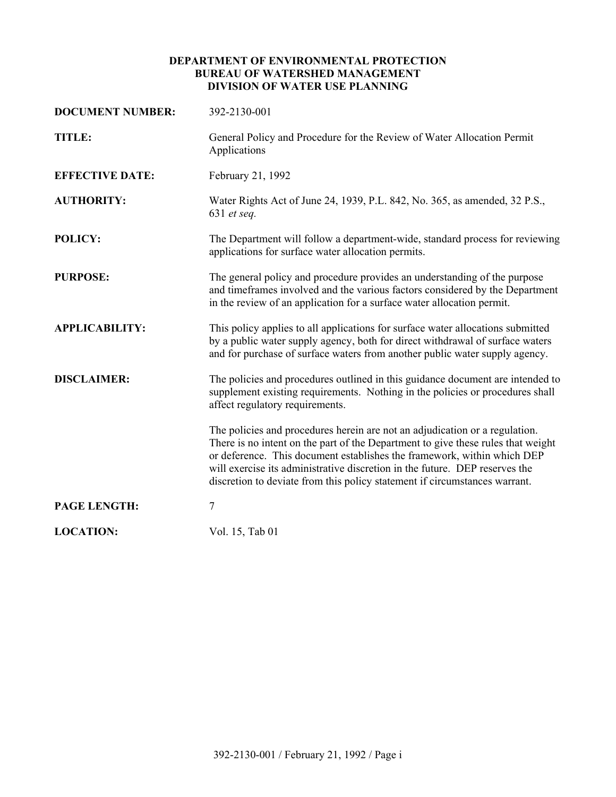## **DEPARTMENT OF ENVIRONMENTAL PROTECTION BUREAU OF WATERSHED MANAGEMENT DIVISION OF WATER USE PLANNING**

| <b>DOCUMENT NUMBER:</b> | 392-2130-001                                                                                                                                                                                                                                                                                                                                                                                            |
|-------------------------|---------------------------------------------------------------------------------------------------------------------------------------------------------------------------------------------------------------------------------------------------------------------------------------------------------------------------------------------------------------------------------------------------------|
| TITLE:                  | General Policy and Procedure for the Review of Water Allocation Permit<br>Applications                                                                                                                                                                                                                                                                                                                  |
| <b>EFFECTIVE DATE:</b>  | February 21, 1992                                                                                                                                                                                                                                                                                                                                                                                       |
| <b>AUTHORITY:</b>       | Water Rights Act of June 24, 1939, P.L. 842, No. 365, as amended, 32 P.S.,<br>631 et seq.                                                                                                                                                                                                                                                                                                               |
| <b>POLICY:</b>          | The Department will follow a department-wide, standard process for reviewing<br>applications for surface water allocation permits.                                                                                                                                                                                                                                                                      |
| <b>PURPOSE:</b>         | The general policy and procedure provides an understanding of the purpose<br>and timeframes involved and the various factors considered by the Department<br>in the review of an application for a surface water allocation permit.                                                                                                                                                                     |
| <b>APPLICABILITY:</b>   | This policy applies to all applications for surface water allocations submitted<br>by a public water supply agency, both for direct withdrawal of surface waters<br>and for purchase of surface waters from another public water supply agency.                                                                                                                                                         |
| <b>DISCLAIMER:</b>      | The policies and procedures outlined in this guidance document are intended to<br>supplement existing requirements. Nothing in the policies or procedures shall<br>affect regulatory requirements.                                                                                                                                                                                                      |
|                         | The policies and procedures herein are not an adjudication or a regulation.<br>There is no intent on the part of the Department to give these rules that weight<br>or deference. This document establishes the framework, within which DEP<br>will exercise its administrative discretion in the future. DEP reserves the<br>discretion to deviate from this policy statement if circumstances warrant. |
| <b>PAGE LENGTH:</b>     | 7                                                                                                                                                                                                                                                                                                                                                                                                       |
| <b>LOCATION:</b>        | Vol. 15, Tab 01                                                                                                                                                                                                                                                                                                                                                                                         |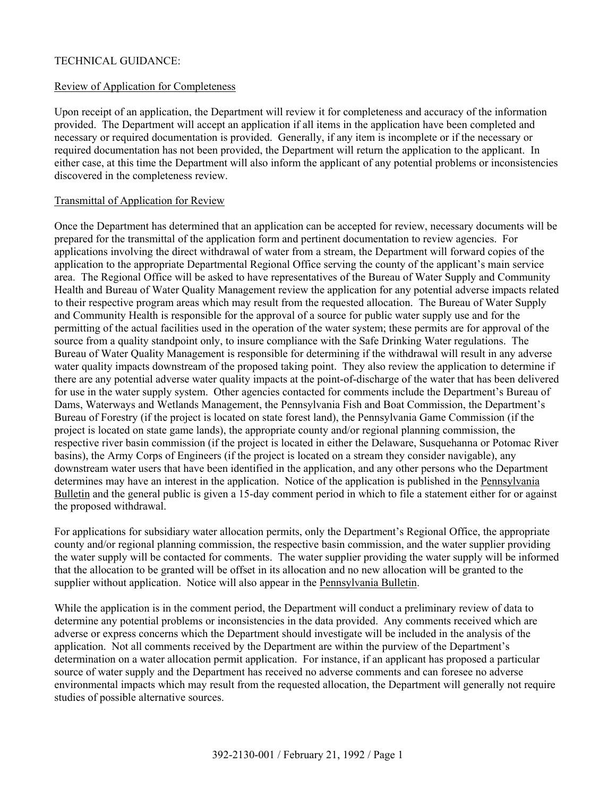# TECHNICAL GUIDANCE:

### Review of Application for Completeness

Upon receipt of an application, the Department will review it for completeness and accuracy of the information provided. The Department will accept an application if all items in the application have been completed and necessary or required documentation is provided. Generally, if any item is incomplete or if the necessary or required documentation has not been provided, the Department will return the application to the applicant. In either case, at this time the Department will also inform the applicant of any potential problems or inconsistencies discovered in the completeness review.

#### Transmittal of Application for Review

Once the Department has determined that an application can be accepted for review, necessary documents will be prepared for the transmittal of the application form and pertinent documentation to review agencies. For applications involving the direct withdrawal of water from a stream, the Department will forward copies of the application to the appropriate Departmental Regional Office serving the county of the applicant's main service area. The Regional Office will be asked to have representatives of the Bureau of Water Supply and Community Health and Bureau of Water Quality Management review the application for any potential adverse impacts related to their respective program areas which may result from the requested allocation. The Bureau of Water Supply and Community Health is responsible for the approval of a source for public water supply use and for the permitting of the actual facilities used in the operation of the water system; these permits are for approval of the source from a quality standpoint only, to insure compliance with the Safe Drinking Water regulations. The Bureau of Water Quality Management is responsible for determining if the withdrawal will result in any adverse water quality impacts downstream of the proposed taking point. They also review the application to determine if there are any potential adverse water quality impacts at the point-of-discharge of the water that has been delivered for use in the water supply system. Other agencies contacted for comments include the Department's Bureau of Dams, Waterways and Wetlands Management, the Pennsylvania Fish and Boat Commission, the Department's Bureau of Forestry (if the project is located on state forest land), the Pennsylvania Game Commission (if the project is located on state game lands), the appropriate county and/or regional planning commission, the respective river basin commission (if the project is located in either the Delaware, Susquehanna or Potomac River basins), the Army Corps of Engineers (if the project is located on a stream they consider navigable), any downstream water users that have been identified in the application, and any other persons who the Department determines may have an interest in the application. Notice of the application is published in the Pennsylvania Bulletin and the general public is given a 15-day comment period in which to file a statement either for or against the proposed withdrawal.

For applications for subsidiary water allocation permits, only the Department's Regional Office, the appropriate county and/or regional planning commission, the respective basin commission, and the water supplier providing the water supply will be contacted for comments. The water supplier providing the water supply will be informed that the allocation to be granted will be offset in its allocation and no new allocation will be granted to the supplier without application. Notice will also appear in the Pennsylvania Bulletin.

While the application is in the comment period, the Department will conduct a preliminary review of data to determine any potential problems or inconsistencies in the data provided. Any comments received which are adverse or express concerns which the Department should investigate will be included in the analysis of the application. Not all comments received by the Department are within the purview of the Department's determination on a water allocation permit application. For instance, if an applicant has proposed a particular source of water supply and the Department has received no adverse comments and can foresee no adverse environmental impacts which may result from the requested allocation, the Department will generally not require studies of possible alternative sources.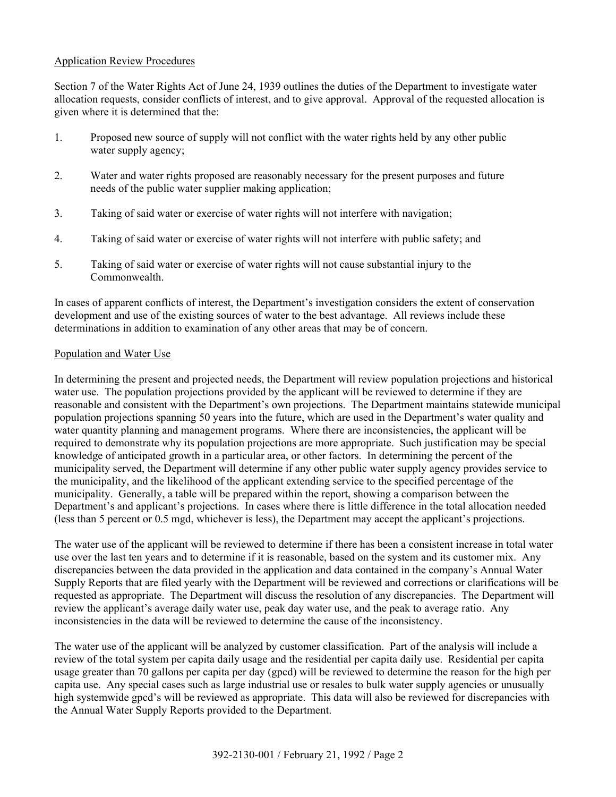## Application Review Procedures

Section 7 of the Water Rights Act of June 24, 1939 outlines the duties of the Department to investigate water allocation requests, consider conflicts of interest, and to give approval. Approval of the requested allocation is given where it is determined that the:

- 1. Proposed new source of supply will not conflict with the water rights held by any other public water supply agency;
- 2. Water and water rights proposed are reasonably necessary for the present purposes and future needs of the public water supplier making application;
- 3. Taking of said water or exercise of water rights will not interfere with navigation;
- 4. Taking of said water or exercise of water rights will not interfere with public safety; and
- 5. Taking of said water or exercise of water rights will not cause substantial injury to the **Commonwealth**

In cases of apparent conflicts of interest, the Department's investigation considers the extent of conservation development and use of the existing sources of water to the best advantage. All reviews include these determinations in addition to examination of any other areas that may be of concern.

### Population and Water Use

In determining the present and projected needs, the Department will review population projections and historical water use. The population projections provided by the applicant will be reviewed to determine if they are reasonable and consistent with the Department's own projections. The Department maintains statewide municipal population projections spanning 50 years into the future, which are used in the Department's water quality and water quantity planning and management programs. Where there are inconsistencies, the applicant will be required to demonstrate why its population projections are more appropriate. Such justification may be special knowledge of anticipated growth in a particular area, or other factors. In determining the percent of the municipality served, the Department will determine if any other public water supply agency provides service to the municipality, and the likelihood of the applicant extending service to the specified percentage of the municipality. Generally, a table will be prepared within the report, showing a comparison between the Department's and applicant's projections. In cases where there is little difference in the total allocation needed (less than 5 percent or 0.5 mgd, whichever is less), the Department may accept the applicant's projections.

The water use of the applicant will be reviewed to determine if there has been a consistent increase in total water use over the last ten years and to determine if it is reasonable, based on the system and its customer mix. Any discrepancies between the data provided in the application and data contained in the company's Annual Water Supply Reports that are filed yearly with the Department will be reviewed and corrections or clarifications will be requested as appropriate. The Department will discuss the resolution of any discrepancies. The Department will review the applicant's average daily water use, peak day water use, and the peak to average ratio. Any inconsistencies in the data will be reviewed to determine the cause of the inconsistency.

The water use of the applicant will be analyzed by customer classification. Part of the analysis will include a review of the total system per capita daily usage and the residential per capita daily use. Residential per capita usage greater than 70 gallons per capita per day (gpcd) will be reviewed to determine the reason for the high per capita use. Any special cases such as large industrial use or resales to bulk water supply agencies or unusually high systemwide gpcd's will be reviewed as appropriate. This data will also be reviewed for discrepancies with the Annual Water Supply Reports provided to the Department.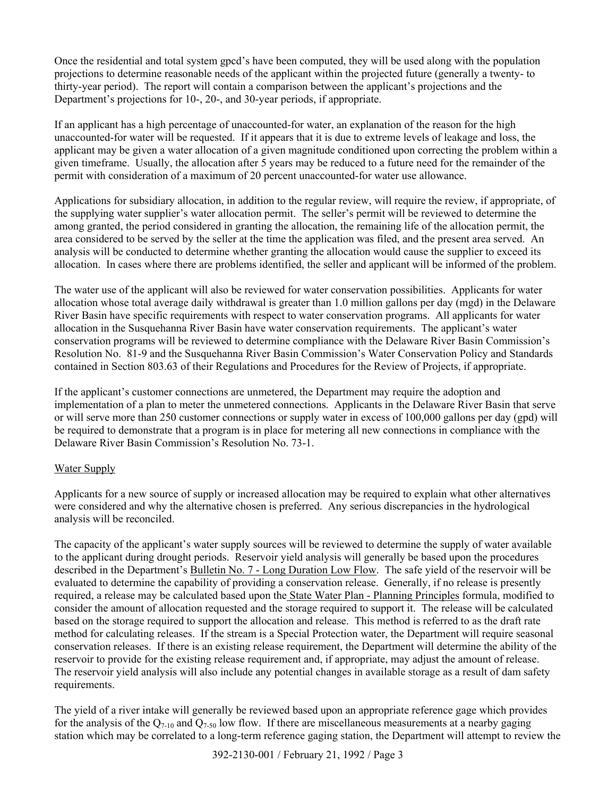Once the residential and total system gpcd's have been computed, they will be used along with the population projections to determine reasonable needs of the applicant within the projected future (generally a twenty- to thirty-year period). The report will contain a comparison between the applicant's projections and the Department's projections for 10-, 20-, and 30-year periods, if appropriate.

If an applicant has a high percentage of unaccounted-for water, an explanation of the reason for the high unaccounted-for water will be requested. If it appears that it is due to extreme levels of leakage and loss, the applicant may be given a water allocation of a given magnitude conditioned upon correcting the problem within a given timeframe. Usually, the allocation after 5 years may be reduced to a future need for the remainder of the permit with consideration of a maximum of 20 percent unaccounted-for water use allowance.

Applications for subsidiary allocation, in addition to the regular review, will require the review, if appropriate, of the supplying water supplier's water allocation permit. The seller's permit will be reviewed to determine the among granted, the period considered in granting the allocation, the remaining life of the allocation permit, the area considered to be served by the seller at the time the application was filed, and the present area served. An analysis will be conducted to determine whether granting the allocation would cause the supplier to exceed its allocation. In cases where there are problems identified, the seller and applicant will be informed of the problem.

The water use of the applicant will also be reviewed for water conservation possibilities. Applicants for water allocation whose total average daily withdrawal is greater than 1.0 million gallons per day (mgd) in the Delaware River Basin have specific requirements with respect to water conservation programs. All applicants for water allocation in the Susquehanna River Basin have water conservation requirements. The applicant's water conservation programs will be reviewed to determine compliance with the Delaware River Basin Commission's Resolution No. 81-9 and the Susquehanna River Basin Commission's Water Conservation Policy and Standards contained in Section 803.63 of their Regulations and Procedures for the Review of Projects, if appropriate.

If the applicant's customer connections are unmetered, the Department may require the adoption and implementation of a plan to meter the unmetered connections. Applicants in the Delaware River Basin that serve or will serve more than 250 customer connections or supply water in excess of 100,000 gallons per day (gpd) will be required to demonstrate that a program is in place for metering all new connections in compliance with the Delaware River Basin Commission's Resolution No. 73-1.

# Water Supply

Applicants for a new source of supply or increased allocation may be required to explain what other alternatives were considered and why the alternative chosen is preferred. Any serious discrepancies in the hydrological analysis will be reconciled.

The capacity of the applicant's water supply sources will be reviewed to determine the supply of water available to the applicant during drought periods. Reservoir yield analysis will generally be based upon the procedures described in the Department's Bulletin No. 7 - Long Duration Low Flow. The safe yield of the reservoir will be evaluated to determine the capability of providing a conservation release. Generally, if no release is presently required, a release may be calculated based upon the State Water Plan - Planning Principles formula, modified to consider the amount of allocation requested and the storage required to support it. The release will be calculated based on the storage required to support the allocation and release. This method is referred to as the draft rate method for calculating releases. If the stream is a Special Protection water, the Department will require seasonal conservation releases. If there is an existing release requirement, the Department will determine the ability of the reservoir to provide for the existing release requirement and, if appropriate, may adjust the amount of release. The reservoir yield analysis will also include any potential changes in available storage as a result of dam safety requirements.

The yield of a river intake will generally be reviewed based upon an appropriate reference gage which provides for the analysis of the  $Q_{7-10}$  and  $Q_{7-50}$  low flow. If there are miscellaneous measurements at a nearby gaging station which may be correlated to a long-term reference gaging station, the Department will attempt to review the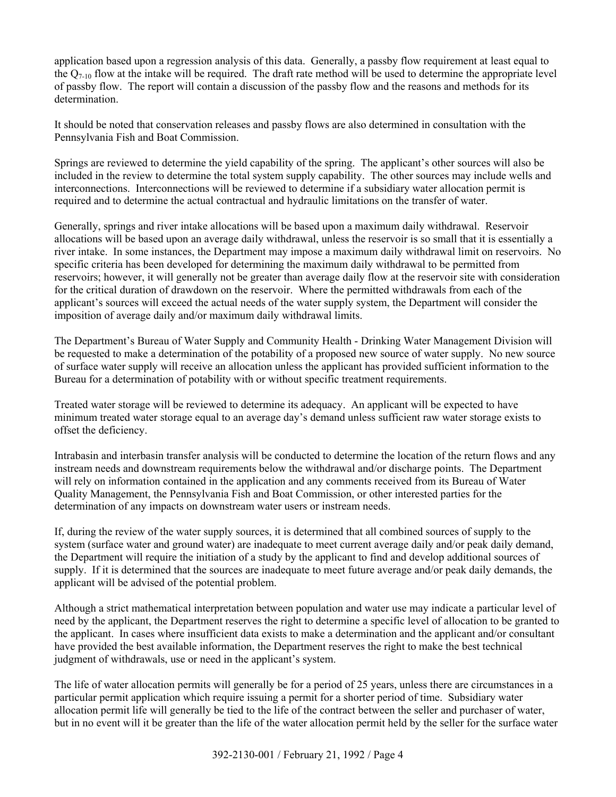application based upon a regression analysis of this data. Generally, a passby flow requirement at least equal to the  $Q_{7-10}$  flow at the intake will be required. The draft rate method will be used to determine the appropriate level of passby flow. The report will contain a discussion of the passby flow and the reasons and methods for its determination.

It should be noted that conservation releases and passby flows are also determined in consultation with the Pennsylvania Fish and Boat Commission.

Springs are reviewed to determine the yield capability of the spring. The applicant's other sources will also be included in the review to determine the total system supply capability. The other sources may include wells and interconnections. Interconnections will be reviewed to determine if a subsidiary water allocation permit is required and to determine the actual contractual and hydraulic limitations on the transfer of water.

Generally, springs and river intake allocations will be based upon a maximum daily withdrawal. Reservoir allocations will be based upon an average daily withdrawal, unless the reservoir is so small that it is essentially a river intake. In some instances, the Department may impose a maximum daily withdrawal limit on reservoirs. No specific criteria has been developed for determining the maximum daily withdrawal to be permitted from reservoirs; however, it will generally not be greater than average daily flow at the reservoir site with consideration for the critical duration of drawdown on the reservoir. Where the permitted withdrawals from each of the applicant's sources will exceed the actual needs of the water supply system, the Department will consider the imposition of average daily and/or maximum daily withdrawal limits.

The Department's Bureau of Water Supply and Community Health - Drinking Water Management Division will be requested to make a determination of the potability of a proposed new source of water supply. No new source of surface water supply will receive an allocation unless the applicant has provided sufficient information to the Bureau for a determination of potability with or without specific treatment requirements.

Treated water storage will be reviewed to determine its adequacy. An applicant will be expected to have minimum treated water storage equal to an average day's demand unless sufficient raw water storage exists to offset the deficiency.

Intrabasin and interbasin transfer analysis will be conducted to determine the location of the return flows and any instream needs and downstream requirements below the withdrawal and/or discharge points. The Department will rely on information contained in the application and any comments received from its Bureau of Water Quality Management, the Pennsylvania Fish and Boat Commission, or other interested parties for the determination of any impacts on downstream water users or instream needs.

If, during the review of the water supply sources, it is determined that all combined sources of supply to the system (surface water and ground water) are inadequate to meet current average daily and/or peak daily demand, the Department will require the initiation of a study by the applicant to find and develop additional sources of supply. If it is determined that the sources are inadequate to meet future average and/or peak daily demands, the applicant will be advised of the potential problem.

Although a strict mathematical interpretation between population and water use may indicate a particular level of need by the applicant, the Department reserves the right to determine a specific level of allocation to be granted to the applicant. In cases where insufficient data exists to make a determination and the applicant and/or consultant have provided the best available information, the Department reserves the right to make the best technical judgment of withdrawals, use or need in the applicant's system.

The life of water allocation permits will generally be for a period of 25 years, unless there are circumstances in a particular permit application which require issuing a permit for a shorter period of time. Subsidiary water allocation permit life will generally be tied to the life of the contract between the seller and purchaser of water, but in no event will it be greater than the life of the water allocation permit held by the seller for the surface water